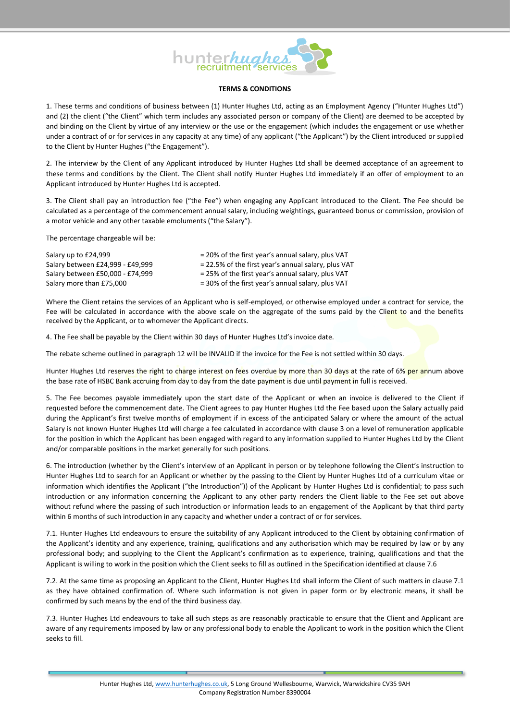

## **TERMS & CONDITIONS**

1. These terms and conditions of business between (1) Hunter Hughes Ltd, acting as an Employment Agency ("Hunter Hughes Ltd") and (2) the client ("the Client" which term includes any associated person or company of the Client) are deemed to be accepted by and binding on the Client by virtue of any interview or the use or the engagement (which includes the engagement or use whether under a contract of or for services in any capacity at any time) of any applicant ("the Applicant") by the Client introduced or supplied to the Client by Hunter Hughes ("the Engagement").

2. The interview by the Client of any Applicant introduced by Hunter Hughes Ltd shall be deemed acceptance of an agreement to these terms and conditions by the Client. The Client shall notify Hunter Hughes Ltd immediately if an offer of employment to an Applicant introduced by Hunter Hughes Ltd is accepted.

3. The Client shall pay an introduction fee ("the Fee") when engaging any Applicant introduced to the Client. The Fee should be calculated as a percentage of the commencement annual salary, including weightings, guaranteed bonus or commission, provision of a motor vehicle and any other taxable emoluments ("the Salary").

The percentage chargeable will be:

| Salary up to £24,999             | $=$ 20% of the first year's annual salary, plus VAT |
|----------------------------------|-----------------------------------------------------|
| Salary between £24,999 - £49,999 | = 22.5% of the first year's annual salary, plus VAT |
| Salary between £50,000 - £74,999 | = 25% of the first year's annual salary, plus VAT   |
| Salary more than £75,000         | = 30% of the first year's annual salary, plus VAT   |

Where the Client retains the services of an Applicant who is self-employed, or otherwise employed under a contract for service, the Fee will be calculated in accordance with the above scale on the aggregate of the sums paid by the Client to and the benefits received by the Applicant, or to whomever the Applicant directs.

4. The Fee shall be payable by the Client within 30 days of Hunter Hughes Ltd's invoice date.

The rebate scheme outlined in paragraph 12 will be INVALID if the invoice for the Fee is not settled within 30 days.

Hunter Hughes Ltd reserves the right to charge interest on fees overdue by more than 30 days at the rate of 6% per annum above the base rate of HSBC Bank accruing from day to day from the date payment is due until payment in full is received.

5. The Fee becomes payable immediately upon the start date of the Applicant or when an invoice is delivered to the Client if requested before the commencement date. The Client agrees to pay Hunter Hughes Ltd the Fee based upon the Salary actually paid during the Applicant's first twelve months of employment if in excess of the anticipated Salary or where the amount of the actual Salary is not known Hunter Hughes Ltd will charge a fee calculated in accordance with clause 3 on a level of remuneration applicable for the position in which the Applicant has been engaged with regard to any information supplied to Hunter Hughes Ltd by the Client and/or comparable positions in the market generally for such positions.

6. The introduction (whether by the Client's interview of an Applicant in person or by telephone following the Client's instruction to Hunter Hughes Ltd to search for an Applicant or whether by the passing to the Client by Hunter Hughes Ltd of a curriculum vitae or information which identifies the Applicant ("the Introduction")) of the Applicant by Hunter Hughes Ltd is confidential; to pass such introduction or any information concerning the Applicant to any other party renders the Client liable to the Fee set out above without refund where the passing of such introduction or information leads to an engagement of the Applicant by that third party within 6 months of such introduction in any capacity and whether under a contract of or for services.

7.1. Hunter Hughes Ltd endeavours to ensure the suitability of any Applicant introduced to the Client by obtaining confirmation of the Applicant's identity and any experience, training, qualifications and any authorisation which may be required by law or by any professional body; and supplying to the Client the Applicant's confirmation as to experience, training, qualifications and that the Applicant is willing to work in the position which the Client seeks to fill as outlined in the Specification identified at clause 7.6

7.2. At the same time as proposing an Applicant to the Client, Hunter Hughes Ltd shall inform the Client of such matters in clause 7.1 as they have obtained confirmation of. Where such information is not given in paper form or by electronic means, it shall be confirmed by such means by the end of the third business day.

7.3. Hunter Hughes Ltd endeavours to take all such steps as are reasonably practicable to ensure that the Client and Applicant are aware of any requirements imposed by law or any professional body to enable the Applicant to work in the position which the Client seeks to fill.